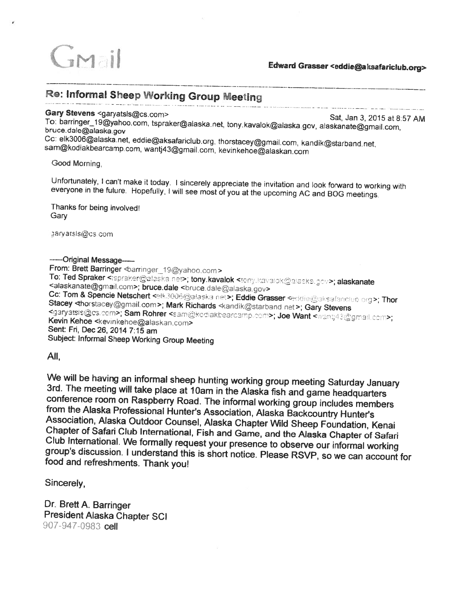

# Re: Informal Sheep Working Group Meeting

## Gary Stevens <garyatsls@cs.com>

The Verteirs Sat, Jan 3, 2015 at 8.57 AM<br>To: barringer\_19@yahoo.com, tspraker@alaska.net, tony.kavalok@alaska.gov, alaskanate@gmail.com,<br>bruce.dale@alaska.gov

Cc: elk3006@alaska.net, eddie@aksafariclub.org, thorstacey@gmail.com, kandik@starband.net, sam@kodiakbearcamp.com, wantj43@gmail.com, kevinkehoe@alaskan.com

Good Morning,

Unfortunately, I can't make it today. I sincerely appreciate the invitation and look forward to working with everyone in the future. Hopefully, I will see most of you at the upcoming AC and BOG meetings.

Thanks for being involved: **Gary** 

darvatsls@cs.com

### -----Original Message--

From: Brett Barringer <br />
derringer <a>
19@yahoo.com> To: Ted Spraker < spraker@alaska.net>; tony.kavalok <tony.kavalok@alaska.gov>; alaskanate <alaskanate <alaskanate <alaskanate <alaskanate </alaskanate  $\alpha$ . -Stacey <thorstacey@gmail.com>; Mark Richards <andik@starband.net>; Gary Stevens kgaryatsis@cs.com>; Sam Rohrer <sam@kodiakbearcamp.com>; Joe Want <wantj43@gmail.com>; Kevin Kehoe <kevinkehoe@alaskan.com> Sent: Fri, Dec 26, 2014 7:15 am Subject: Informal Sheep Working Group Meeting

All,

We will be having an informal sheep hunting working group meeting Saturday January<br>3rd. The meeting will take place at 10am in the Alaska fish and game headquarters<br>conference room on Raspberry Road. The informal working g

Sincerely,

Dr. Brett A. Barringer President Alaska Chapter SCI 907-947-0983 cell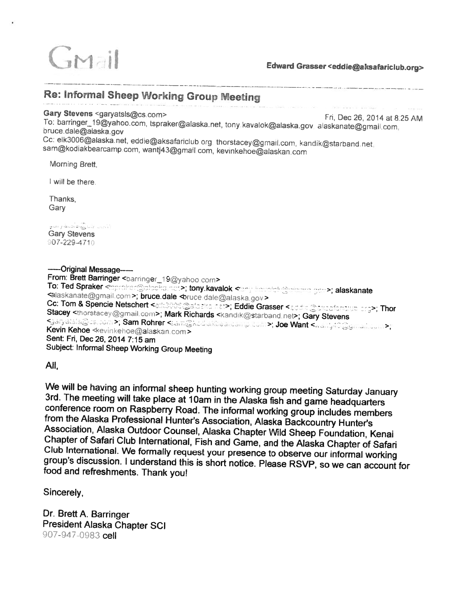

## Re: Informal Sheep Working Group Meeting

### Gary Stevens <garyatsls@cs.com>

**The 26, 2014 at 8.25 AM**<br>To: barringer\_19@yahoo.com, tspraker@alaska.net, tony kavalok@alaska.gov alaskanate@gmail.com<br>bruce.dale@alaska.gov

Cc: elk3006@alaska net, eddie@aksafariclub org thorstacey@gmail.com, kandik@starband.net, sam@kodiakbearcamp.com, wantj43@gmail.com, kevinkehoe@alaskan.com

Morning Brett,

I will be there.

Thanks, **Gary** 

والتباب أفادة وأوادها والمتواز الفاو Gary Stevens  $907 - 229 - 4710$ 

—-Original Message——-

From: Brett Barringer <br/>barringer\_19@yahoo.com> To: Ted Spraker <mproter@alocka.nct>; tony.kavalok <emp kavalok@e von de opratter information and the contract of the state of the state of the state of the state of the state of the state of the state of the state of the state of the state of the state of the state of the state of the s **Cc: Tom & Spencie Netschert <alternational and a fact >; Eddie Grasser <addie @akeafarithup erg>; Thor** Stacey <thorstacey@gmail.com>; Mark Richards <kandik@starband.net>; Gary Stevens Kaaryatsis@cs.com>; Sam Rohrer <േam@kod.akbear.com>; Joe Want <<br>Kevin Kehoe ≪evinkehoe@alaskan.com> Sent: Fri, Dec 26, 2014 7:15 am Subject: Informal Sheep Working Group Meeting

All,

We will be having an informal sheep hunting working group meeting Saturday January<br>3rd. The meeting will take place at 10am in the Alaska fish and game headquarters<br>conference room on Raspberry Road. The informal working g

Sincerely,

Dr. Brett A. Barringer President Alaska Chapter SCI 907-947-0983 cell